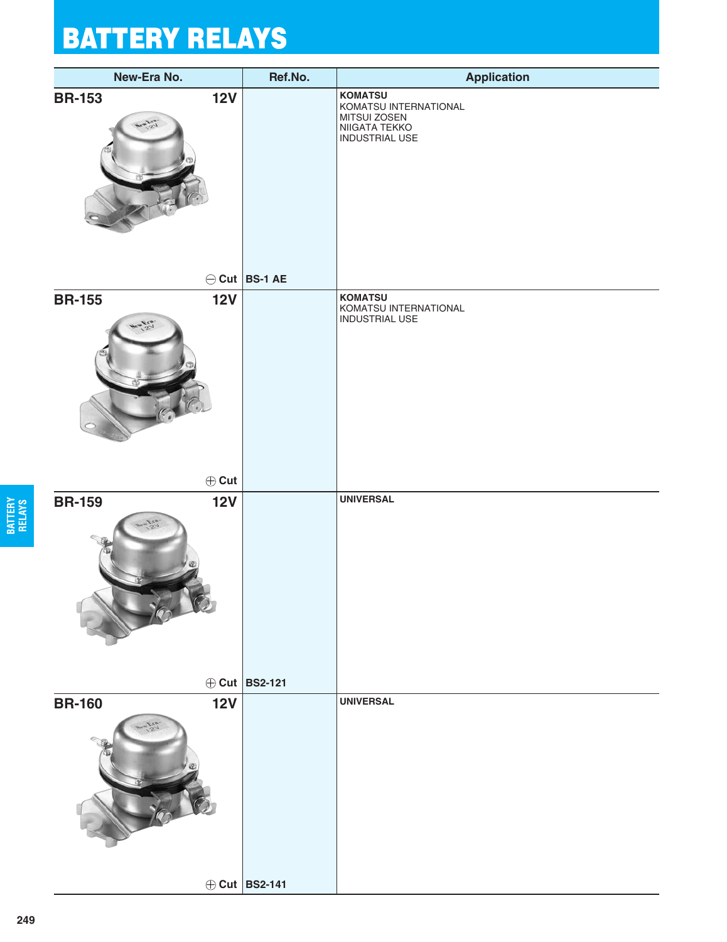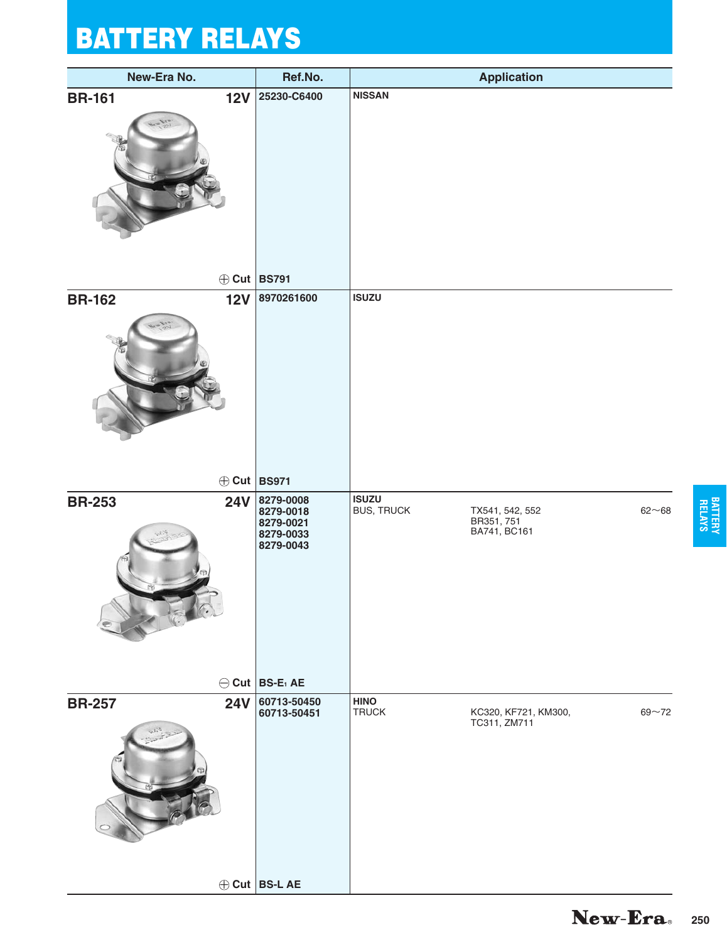|               | New-Era No.          | Ref.No.                                                       |                                   | <b>Application</b>                            |           |
|---------------|----------------------|---------------------------------------------------------------|-----------------------------------|-----------------------------------------------|-----------|
| <b>BR-161</b> | <b>12V</b>           | 25230-C6400                                                   | <b>NISSAN</b>                     |                                               |           |
|               | $\oplus$ Cut   BS791 |                                                               |                                   |                                               |           |
| <b>BR-162</b> | <b>12V</b>           | 8970261600                                                    | <b>ISUZU</b>                      |                                               |           |
|               | $\oplus$ Cut   BS971 |                                                               |                                   |                                               |           |
| <b>BR-253</b> | <b>24V</b>           | 8279-0008<br>8279-0018<br>8279-0021<br>8279-0033<br>8279-0043 | <b>ISUZU</b><br><b>BUS, TRUCK</b> | TX541, 542, 552<br>BR351, 751<br>BA741, BC161 | $62 - 68$ |
|               |                      | $\ominus$ Cut BS-E <sub>1</sub> AE                            |                                   |                                               |           |
| <b>BR-257</b> | <b>24V</b>           | 60713-50450<br>60713-50451                                    | <b>HINO</b><br><b>TRUCK</b>       | KC320, KF721, KM300,<br>TC311, ZM711          | $69 - 72$ |
|               |                      | ⊕ Cut BS-L AE                                                 |                                   |                                               |           |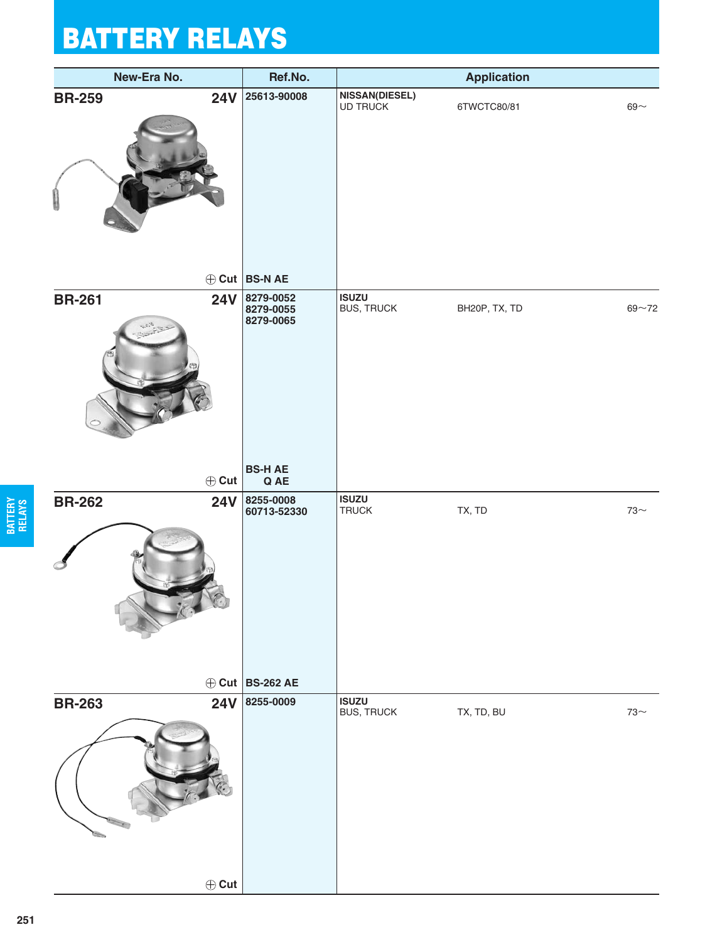| New-Era No.                                                        | Ref.No.                             | <b>Application</b>                |               |           |  |  |
|--------------------------------------------------------------------|-------------------------------------|-----------------------------------|---------------|-----------|--|--|
| <b>24V</b><br><b>BR-259</b>                                        | 25613-90008                         | <b>NISSAN(DIESEL)</b><br>UD TRUCK | 6TWCTC80/81   | $69 -$    |  |  |
|                                                                    | ⊕ Cut BS-N AE                       |                                   |               |           |  |  |
| <b>BR-261</b><br>24V<br>$J_{12}$                                   | 8279-0052<br>8279-0055<br>8279-0065 | <b>ISUZU</b><br><b>BUS, TRUCK</b> | BH20P, TX, TD | $69 - 72$ |  |  |
| $\oplus$ Cut                                                       | <b>BS-HAE</b><br>Q AE               |                                   |               |           |  |  |
| <b>BR-262</b><br><b>24V</b><br>R. O                                | 8255-0008<br>60713-52330            | <b>ISUZU</b><br><b>TRUCK</b>      | TX, TD        | $73$ ~    |  |  |
|                                                                    | ⊕ Cut BS-262 AE                     |                                   |               |           |  |  |
| <b>BR-263</b><br><b>24V</b><br>$\sigma_{\rm{iso}}$<br>$\oplus$ Cut | 8255-0009                           | <b>ISUZU</b><br><b>BUS, TRUCK</b> | TX, TD, BU    | 73 $\sim$ |  |  |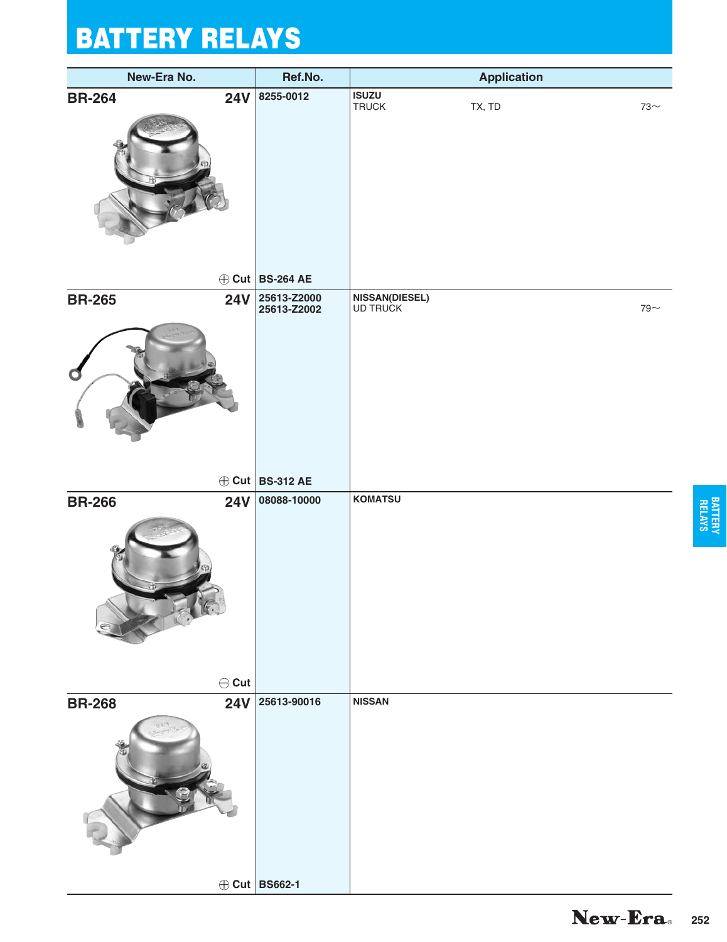| New-Era No.        |               | Ref.No.                    | <b>Application</b>           |        |           |  |
|--------------------|---------------|----------------------------|------------------------------|--------|-----------|--|
| <b>BR-264</b>      |               | 24V 8255-0012              | <b>ISUZU</b><br><b>TRUCK</b> | TX, TD | 73 $\sim$ |  |
|                    |               | $\oplus$ Cut BS-264 AE     |                              |        |           |  |
| <b>BR-265</b><br>C | 24V           | 25613-Z2000<br>25613-Z2002 | NISSAN(DIESEL)<br>UD TRUCK   |        | 79 $\sim$ |  |
|                    |               | $\oplus$ Cut BS-312 AE     |                              |        |           |  |
| <b>BR-266</b>      | 24V           | 08088-10000                | <b>KOMATSU</b>               |        |           |  |
|                    | $\ominus$ Cut |                            |                              |        |           |  |
| <b>BR-268</b>      | <b>24V</b>    | 25613-90016                | <b>NISSAN</b>                |        |           |  |
|                    |               | ⊕ Cut BS662-1              |                              |        |           |  |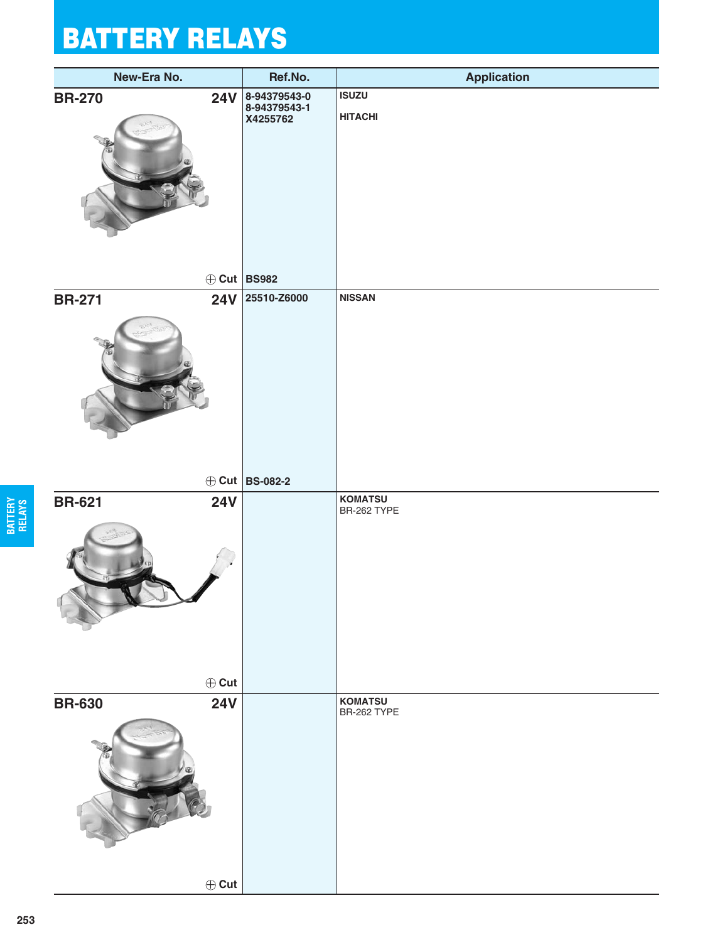|               | New-Era No.  | Ref.No.                      | <b>Application</b>            |
|---------------|--------------|------------------------------|-------------------------------|
| <b>BR-270</b> | <b>24V</b>   | 8-94379543-0<br>8-94379543-1 | <b>ISUZU</b>                  |
|               |              | X4255762                     | <b>HITACHI</b>                |
|               |              | $\oplus$ Cut BS982           |                               |
| <b>BR-271</b> | <b>24V</b>   | 25510-Z6000                  | <b>NISSAN</b>                 |
|               |              | $\oplus$ Cut BS-082-2        |                               |
| <b>BR-621</b> | <b>24V</b>   |                              | <b>KOMATSU</b><br>BR-262 TYPE |
|               | $\oplus$ Cut |                              |                               |
| <b>BR-630</b> | <b>24V</b>   |                              | <b>KOMATSU</b><br>BR-262 TYPE |
|               | $\oplus$ Cut |                              |                               |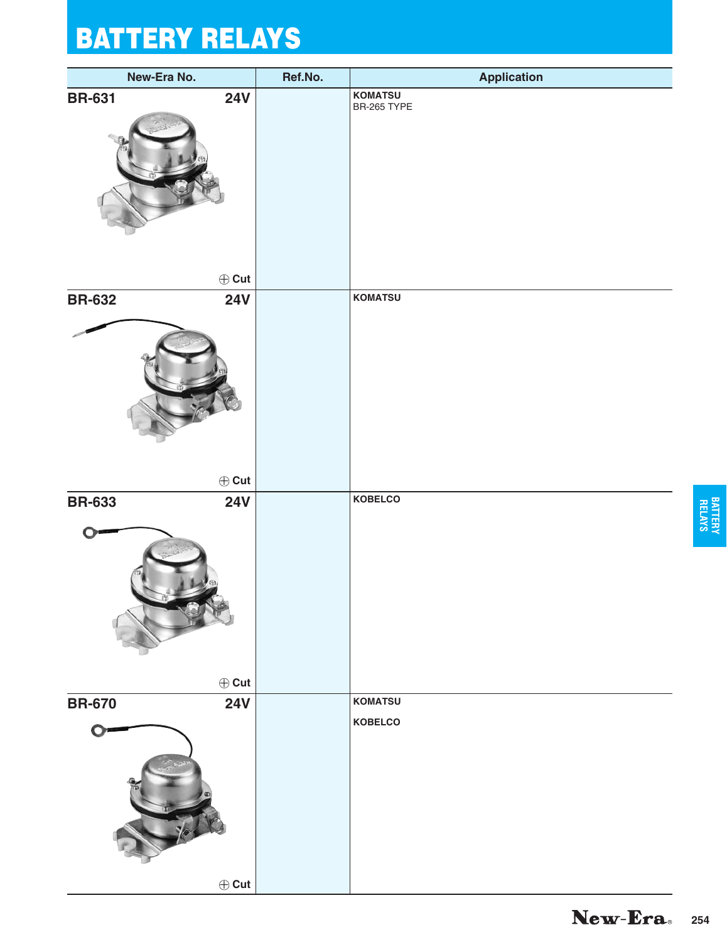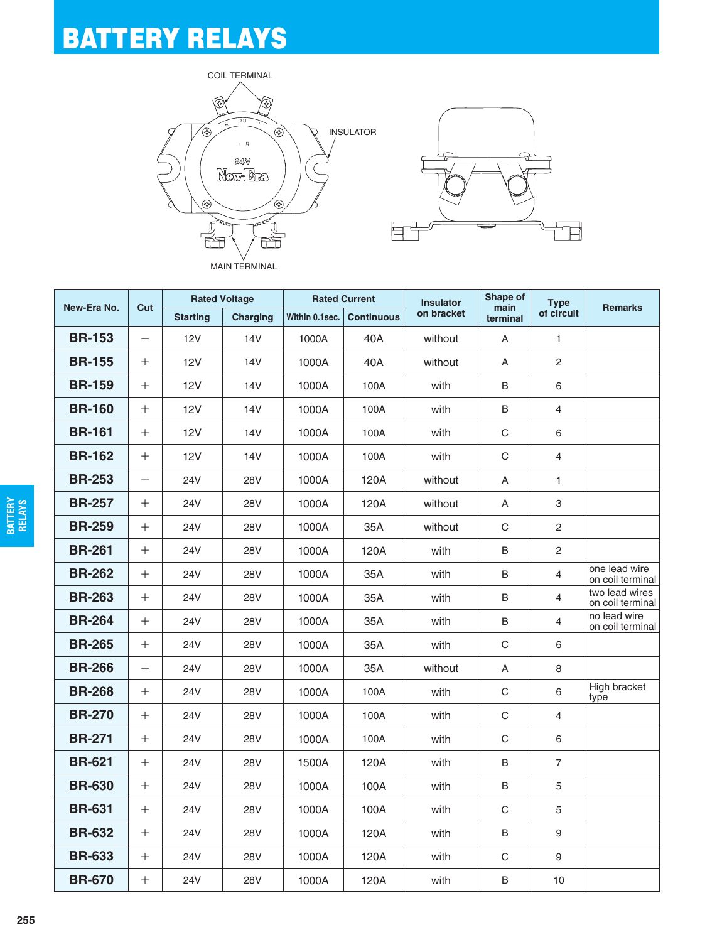





| New-Era No.   | Cut                      | <b>Rated Voltage</b> |            | <b>Rated Current</b> |                   | <b>Insulator</b> | Shape of         | <b>Type</b>      |                                    |
|---------------|--------------------------|----------------------|------------|----------------------|-------------------|------------------|------------------|------------------|------------------------------------|
|               |                          | <b>Starting</b>      | Charging   | Within 0.1sec.       | <b>Continuous</b> | on bracket       | main<br>terminal | of circuit       | <b>Remarks</b>                     |
| <b>BR-153</b> | $\overline{\phantom{0}}$ | 12V                  | 14V        | 1000A                | 40A               | without          | A                | $\mathbf{1}$     |                                    |
| <b>BR-155</b> | $+$                      | 12V                  | 14V        | 1000A                | 40A               | without          | A                | 2                |                                    |
| <b>BR-159</b> | $+$                      | 12V                  | 14V        | 1000A                | 100A              | with             | B                | 6                |                                    |
| <b>BR-160</b> | $^{+}$                   | <b>12V</b>           | 14V        | 1000A                | 100A              | with             | B                | $\overline{4}$   |                                    |
| <b>BR-161</b> | $+$                      | <b>12V</b>           | <b>14V</b> | 1000A                | 100A              | with             | C                | 6                |                                    |
| <b>BR-162</b> | $+$                      | <b>12V</b>           | <b>14V</b> | 1000A                | 100A              | with             | $\mathsf C$      | $\overline{4}$   |                                    |
| <b>BR-253</b> | $\qquad \qquad -$        | <b>24V</b>           | <b>28V</b> | 1000A                | 120A              | without          | A                | $\mathbf{1}$     |                                    |
| <b>BR-257</b> | $^{+}$                   | 24V                  | 28V        | 1000A                | 120A              | without          | A                | 3                |                                    |
| <b>BR-259</b> | $^{+}$                   | 24V                  | <b>28V</b> | 1000A                | 35A               | without          | C                | $\mathbf{2}$     |                                    |
| <b>BR-261</b> | $^{+}$                   | 24V                  | <b>28V</b> | 1000A                | 120A              | with             | B                | $\mathbf{2}$     |                                    |
| <b>BR-262</b> | $^{+}$                   | 24V                  | <b>28V</b> | 1000A                | 35A               | with             | B                | $\overline{4}$   | one lead wire<br>on coil terminal  |
| <b>BR-263</b> | $+$                      | 24V                  | <b>28V</b> | 1000A                | 35A               | with             | B                | 4                | two lead wires<br>on coil terminal |
| <b>BR-264</b> | $+$                      | <b>24V</b>           | <b>28V</b> | 1000A                | 35A               | with             | B                | $\overline{4}$   | no lead wire<br>on coil terminal   |
| <b>BR-265</b> | $^{+}$                   | 24V                  | <b>28V</b> | 1000A                | 35A               | with             | $\mathsf{C}$     | 6                |                                    |
| <b>BR-266</b> | $\qquad \qquad -$        | 24V                  | <b>28V</b> | 1000A                | 35A               | without          | A                | 8                |                                    |
| <b>BR-268</b> | $^{+}$                   | 24V                  | <b>28V</b> | 1000A                | 100A              | with             | C                | 6                | High bracket<br>type               |
| <b>BR-270</b> | $^{+}$                   | 24V                  | 28V        | 1000A                | 100A              | with             | C                | $\overline{4}$   |                                    |
| <b>BR-271</b> | $^{+}$                   | 24V                  | <b>28V</b> | 1000A                | 100A              | with             | C                | 6                |                                    |
| <b>BR-621</b> | $^{+}$                   | 24V                  | <b>28V</b> | 1500A                | 120A              | with             | B                | $\overline{7}$   |                                    |
| <b>BR-630</b> | $+$                      | 24V                  | <b>28V</b> | 1000A                | 100A              | with             | B                | 5                |                                    |
| <b>BR-631</b> | $+$                      | <b>24V</b>           | <b>28V</b> | 1000A                | 100A              | with             | C                | 5                |                                    |
| <b>BR-632</b> | $+$                      | 24V                  | <b>28V</b> | 1000A                | 120A              | with             | B                | 9                |                                    |
| <b>BR-633</b> | $^{+}$                   | 24V                  | <b>28V</b> | 1000A                | 120A              | with             | C                | $\boldsymbol{9}$ |                                    |
| <b>BR-670</b> | $^{+}$                   | 24V                  | <b>28V</b> | 1000A                | 120A              | with             | B                | 10               |                                    |